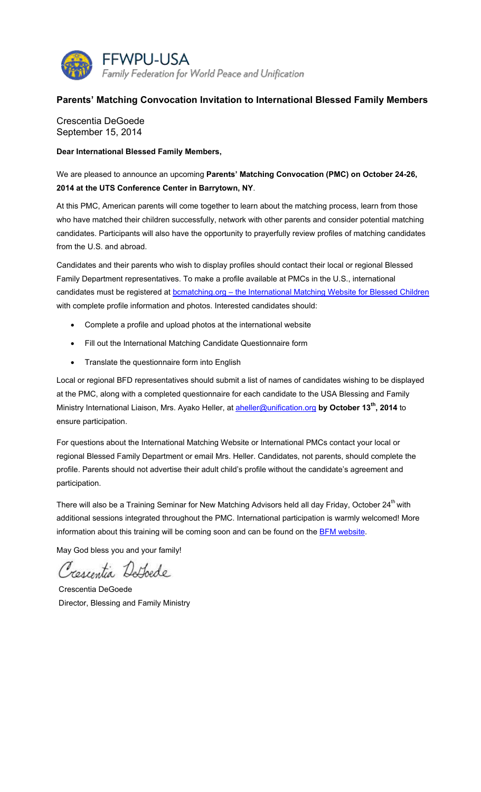

## **Parents' Matching Convocation Invitation to International Blessed Family Members**

Crescentia DeGoede September 15, 2014

**Dear International Blessed Family Members,** 

We are pleased to announce an upcoming **Parents' Matching Convocation (PMC) on October 24-26, 2014 at the UTS Conference Center in Barrytown, NY**.

At this PMC, American parents will come together to learn about the matching process, learn from those who have matched their children successfully, network with other parents and consider potential matching candidates. Participants will also have the opportunity to prayerfully review profiles of matching candidates from the U.S. and abroad.

Candidates and their parents who wish to display profiles should contact their local or regional Blessed Family Department representatives. To make a profile available at PMCs in the U.S., international candidates must be registered at **bcmatching.org** - the International Matching Website for Blessed Children with complete profile information and photos. Interested candidates should:

- Complete a profile and upload photos at the international website
- Fill out the International Matching Candidate Questionnaire form
- Translate the questionnaire form into English

Local or regional BFD representatives should submit a list of names of candidates wishing to be displayed at the PMC, along with a completed questionnaire for each candidate to the USA Blessing and Family Ministry International Liaison, Mrs. Ayako Heller, at aheller@unification.org **by October 13th, 2014** to ensure participation.

For questions about the International Matching Website or International PMCs contact your local or regional Blessed Family Department or email Mrs. Heller. Candidates, not parents, should complete the profile. Parents should not advertise their adult child's profile without the candidate's agreement and participation.

There will also be a Training Seminar for New Matching Advisors held all day Friday, October 24<sup>th</sup> with additional sessions integrated throughout the PMC. International participation is warmly welcomed! More information about this training will be coming soon and can be found on the **BFM website**.

May God bless you and your family!

Crescentia Defoede

 Crescentia DeGoede Director, Blessing and Family Ministry